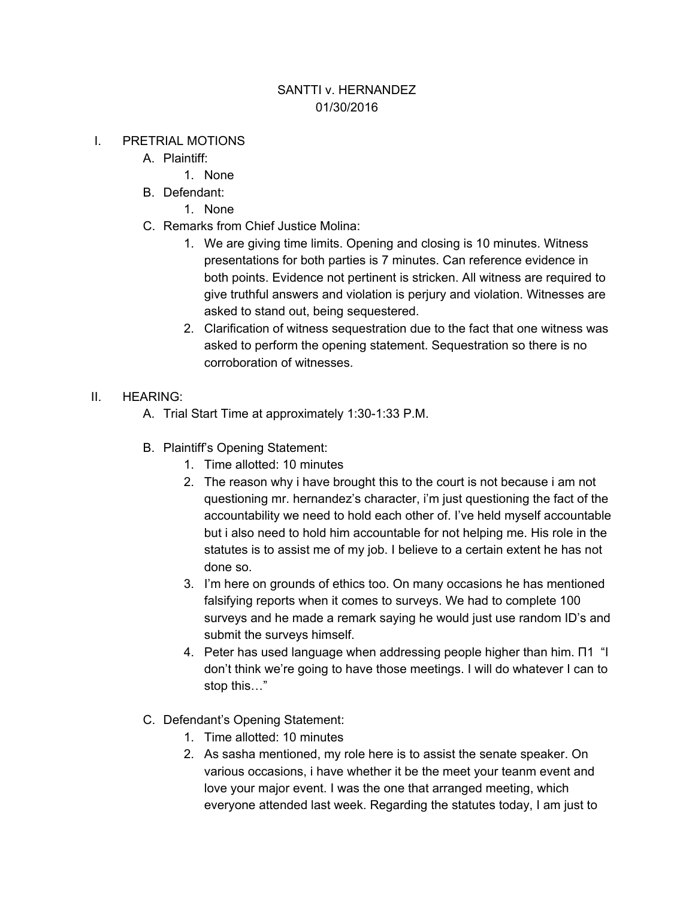## SANTTI v. HERNANDEZ 01/30/2016

## I. PRETRIAL MOTIONS

- A. Plaintiff:
	- 1. None
- B. Defendant:
	- 1. None
- C. Remarks from Chief Justice Molina:
	- 1. We are giving time limits. Opening and closing is 10 minutes. Witness presentations for both parties is 7 minutes. Can reference evidence in both points. Evidence not pertinent is stricken. All witness are required to give truthful answers and violation is perjury and violation. Witnesses are asked to stand out, being sequestered.
	- 2. Clarification of witness sequestration due to the fact that one witness was asked to perform the opening statement. Sequestration so there is no corroboration of witnesses.

## II. HEARING:

- A. Trial Start Time at approximately 1:30-1:33 P.M.
- B. Plaintiff's Opening Statement:
	- 1. Time allotted: 10 minutes
	- 2. The reason why i have brought this to the court is not because i am not questioning mr. hernandez's character, i'm just questioning the fact of the accountability we need to hold each other of. I've held myself accountable but i also need to hold him accountable for not helping me. His role in the statutes is to assist me of my job. I believe to a certain extent he has not done so.
	- 3. I'm here on grounds of ethics too. On many occasions he has mentioned falsifying reports when it comes to surveys. We had to complete 100 surveys and he made a remark saying he would just use random ID's and submit the surveys himself.
	- 4. Peter has used language when addressing people higher than him. Π1 "I don't think we're going to have those meetings. I will do whatever I can to stop this…"
- C. Defendant's Opening Statement:
	- 1. Time allotted: 10 minutes
	- 2. As sasha mentioned, my role here is to assist the senate speaker. On various occasions, i have whether it be the meet your teanm event and love your major event. I was the one that arranged meeting, which everyone attended last week. Regarding the statutes today, I am just to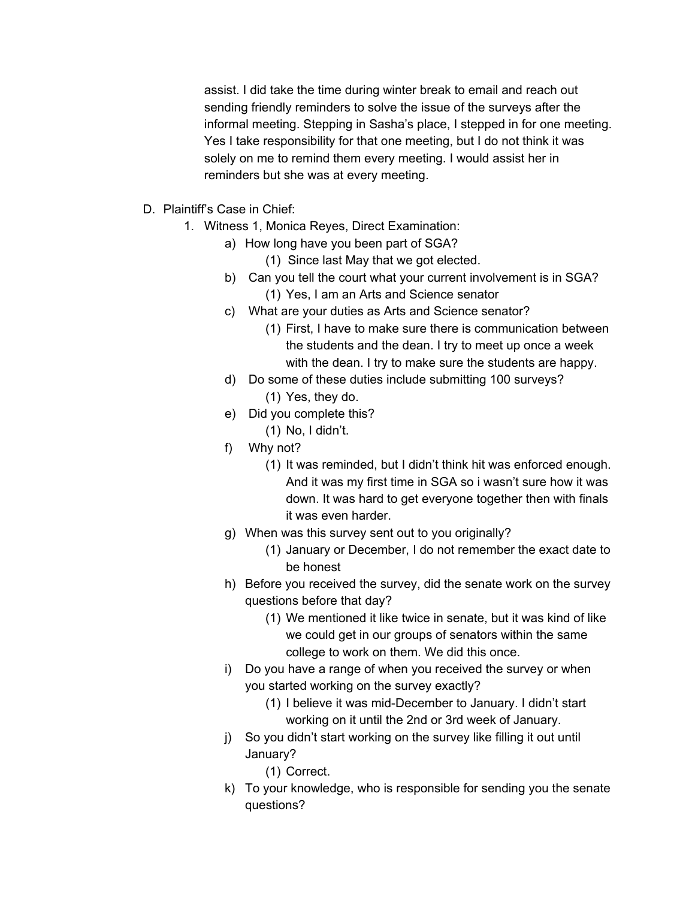assist. I did take the time during winter break to email and reach out sending friendly reminders to solve the issue of the surveys after the informal meeting. Stepping in Sasha's place, I stepped in for one meeting. Yes I take responsibility for that one meeting, but I do not think it was solely on me to remind them every meeting. I would assist her in reminders but she was at every meeting.

- D. Plaintiff's Case in Chief:
	- 1. Witness 1, Monica Reyes, Direct Examination:
		- a) How long have you been part of SGA?
			- (1) Since last May that we got elected.
		- b) Can you tell the court what your current involvement is in SGA? (1) Yes, I am an Arts and Science senator
		- c) What are your duties as Arts and Science senator?
			- (1) First, I have to make sure there is communication between the students and the dean. I try to meet up once a week with the dean. I try to make sure the students are happy.
		- d) Do some of these duties include submitting 100 surveys? (1) Yes, they do.
		- e) Did you complete this?
			- (1) No, I didn't.
		- f) Why not?
			- (1) It was reminded, but I didn't think hit was enforced enough. And it was my first time in SGA so i wasn't sure how it was down. It was hard to get everyone together then with finals it was even harder.
		- g) When was this survey sent out to you originally?
			- (1) January or December, I do not remember the exact date to be honest
		- h) Before you received the survey, did the senate work on the survey questions before that day?
			- (1) We mentioned it like twice in senate, but it was kind of like we could get in our groups of senators within the same college to work on them. We did this once.
		- i) Do you have a range of when you received the survey or when you started working on the survey exactly?
			- (1) I believe it was mid-December to January. I didn't start working on it until the 2nd or 3rd week of January.
		- j) So you didn't start working on the survey like filling it out until January?
			- (1) Correct.
		- k) To your knowledge, who is responsible for sending you the senate questions?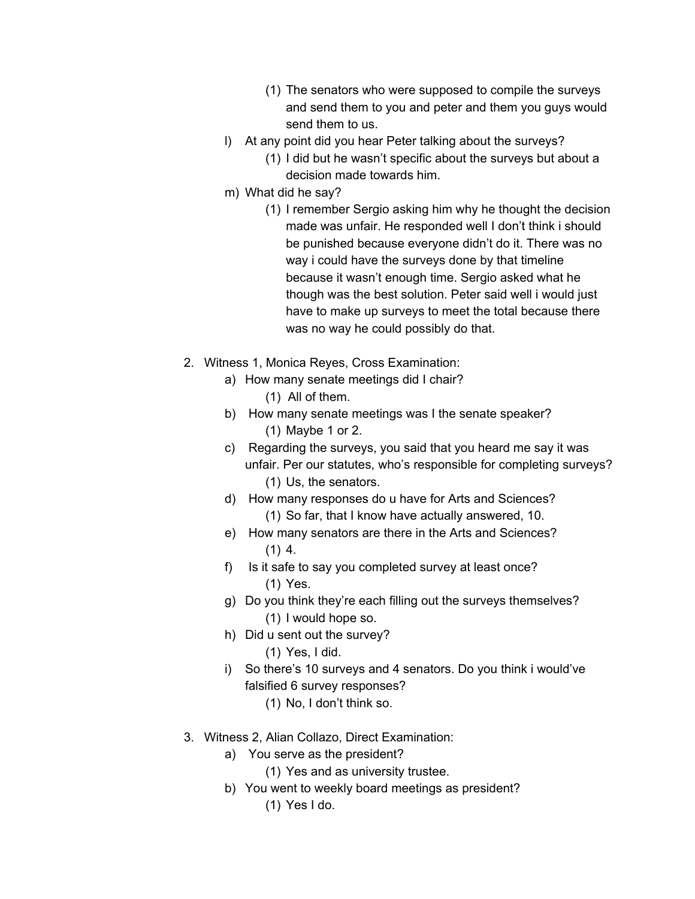- (1) The senators who were supposed to compile the surveys and send them to you and peter and them you guys would send them to us.
- l) At any point did you hear Peter talking about the surveys?
	- (1) I did but he wasn't specific about the surveys but about a decision made towards him.
- m) What did he say?
	- (1) I remember Sergio asking him why he thought the decision made was unfair. He responded well I don't think i should be punished because everyone didn't do it. There was no way i could have the surveys done by that timeline because it wasn't enough time. Sergio asked what he though was the best solution. Peter said well i would just have to make up surveys to meet the total because there was no way he could possibly do that.
- 2. Witness 1, Monica Reyes, Cross Examination:
	- a) How many senate meetings did I chair?
		- (1) All of them.
	- b) How many senate meetings was I the senate speaker? (1) Maybe 1 or 2.
	- c) Regarding the surveys, you said that you heard me say it was unfair. Per our statutes, who's responsible for completing surveys? (1) Us, the senators.
	- d) How many responses do u have for Arts and Sciences? (1) So far, that I know have actually answered, 10.
	- e) How many senators are there in the Arts and Sciences?  $(1)$  4.
	- f) Is it safe to say you completed survey at least once? (1) Yes.
	- g) Do you think they're each filling out the surveys themselves? (1) I would hope so.
	- h) Did u sent out the survey?
		- (1) Yes, I did.
	- i) So there's 10 surveys and 4 senators. Do you think i would've falsified 6 survey responses?
		- (1) No, I don't think so.
- 3. Witness 2, Alian Collazo, Direct Examination:
	- a) You serve as the president?
		- (1) Yes and as university trustee.
	- b) You went to weekly board meetings as president?
		- (1) Yes I do.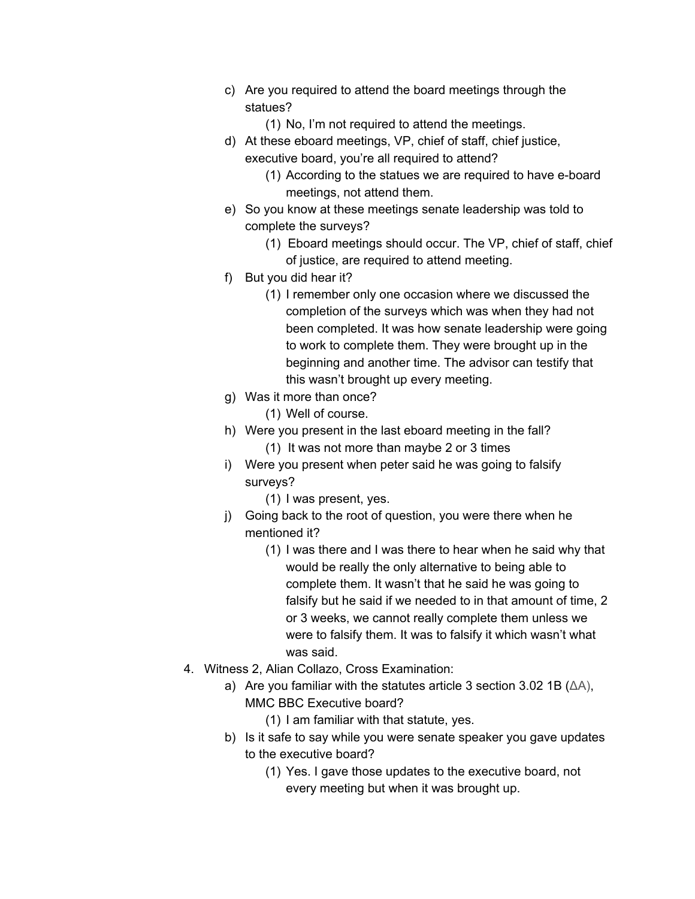- c) Are you required to attend the board meetings through the statues?
	- (1) No, I'm not required to attend the meetings.
- d) At these eboard meetings, VP, chief of staff, chief justice, executive board, you're all required to attend?
	- (1) According to the statues we are required to have e-board meetings, not attend them.
- e) So you know at these meetings senate leadership was told to complete the surveys?
	- (1) Eboard meetings should occur. The VP, chief of staff, chief of justice, are required to attend meeting.
- f) But you did hear it?
	- (1) I remember only one occasion where we discussed the completion of the surveys which was when they had not been completed. It was how senate leadership were going to work to complete them. They were brought up in the beginning and another time. The advisor can testify that this wasn't brought up every meeting.
- g) Was it more than once?
	- (1) Well of course.
- h) Were you present in the last eboard meeting in the fall? (1) It was not more than maybe 2 or 3 times
- i) Were you present when peter said he was going to falsify surveys?
	- (1) I was present, yes.
- j) Going back to the root of question, you were there when he mentioned it?
	- (1) I was there and I was there to hear when he said why that would be really the only alternative to being able to complete them. It wasn't that he said he was going to falsify but he said if we needed to in that amount of time, 2 or 3 weeks, we cannot really complete them unless we were to falsify them. It was to falsify it which wasn't what was said.
- 4. Witness 2, Alian Collazo, Cross Examination:
	- a) Are you familiar with the statutes article 3 section 3.02 1B (ΔA), MMC BBC Executive board?
		- (1) I am familiar with that statute, yes.
	- b) Is it safe to say while you were senate speaker you gave updates to the executive board?
		- (1) Yes. I gave those updates to the executive board, not every meeting but when it was brought up.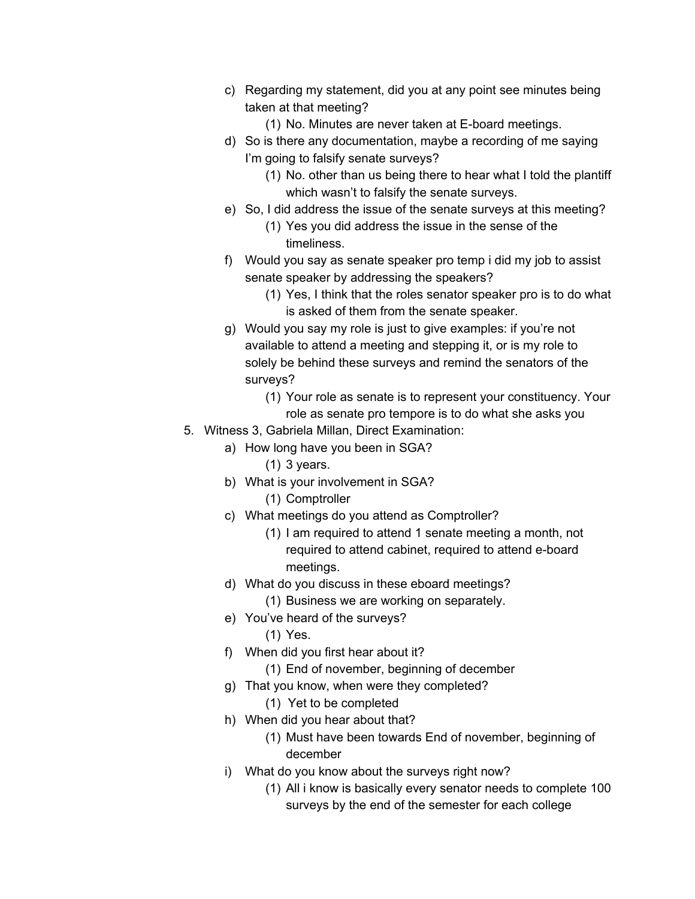- c) Regarding my statement, did you at any point see minutes being taken at that meeting?
	- (1) No. Minutes are never taken at E-board meetings.
- d) So is there any documentation, maybe a recording of me saying I'm going to falsify senate surveys?
	- (1) No. other than us being there to hear what I told the plantiff which wasn't to falsify the senate surveys.
- e) So, I did address the issue of the senate surveys at this meeting?
	- (1) Yes you did address the issue in the sense of the timeliness.
- f) Would you say as senate speaker pro temp i did my job to assist senate speaker by addressing the speakers?
	- (1) Yes, I think that the roles senator speaker pro is to do what is asked of them from the senate speaker.
- g) Would you say my role is just to give examples: if you're not available to attend a meeting and stepping it, or is my role to solely be behind these surveys and remind the senators of the surveys?
	- (1) Your role as senate is to represent your constituency. Your role as senate pro tempore is to do what she asks you
- 5. Witness 3, Gabriela Millan, Direct Examination:
	- a) How long have you been in SGA?
		- (1) 3 years.
	- b) What is your involvement in SGA?
		- (1) Comptroller
	- c) What meetings do you attend as Comptroller?
		- (1) I am required to attend 1 senate meeting a month, not required to attend cabinet, required to attend e-board meetings.
	- d) What do you discuss in these eboard meetings?
		- (1) Business we are working on separately.
	- e) You've heard of the surveys?
		- (1) Yes.
	- f) When did you first hear about it?
		- (1) End of november, beginning of december
	- g) That you know, when were they completed?
		- (1) Yet to be completed
	- h) When did you hear about that?
		- (1) Must have been towards End of november, beginning of december
	- i) What do you know about the surveys right now?
		- (1) All i know is basically every senator needs to complete 100 surveys by the end of the semester for each college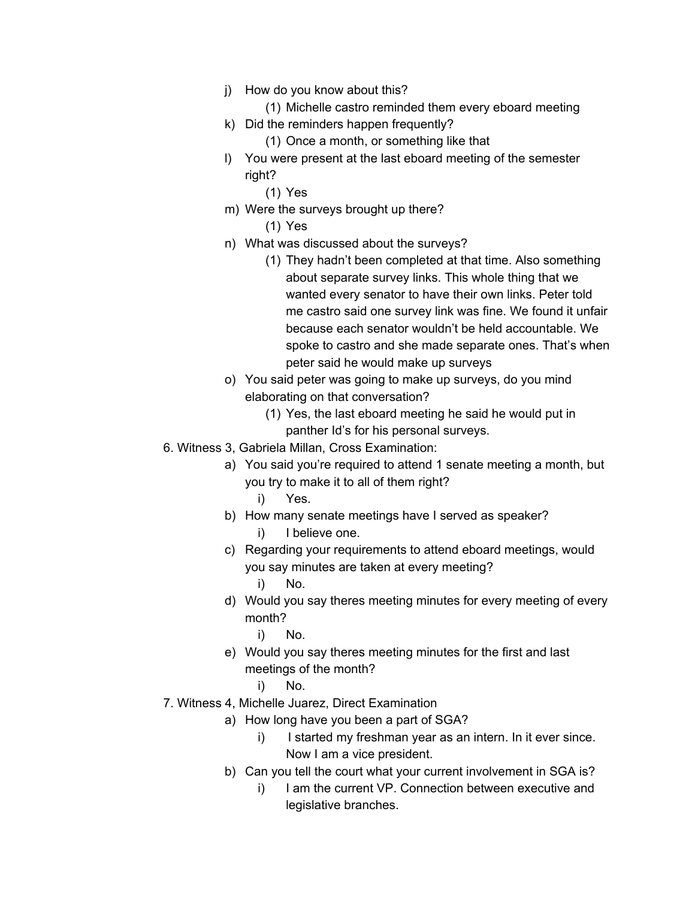- j) How do you know about this?
	- (1) Michelle castro reminded them every eboard meeting
- k) Did the reminders happen frequently?
	- (1) Once a month, or something like that
- l) You were present at the last eboard meeting of the semester right?
	- (1) Yes
- m) Were the surveys brought up there?

(1) Yes

- n) What was discussed about the surveys?
	- (1) They hadn't been completed at that time. Also something about separate survey links. This whole thing that we wanted every senator to have their own links. Peter told me castro said one survey link was fine. We found it unfair because each senator wouldn't be held accountable. We spoke to castro and she made separate ones. That's when peter said he would make up surveys
- o) You said peter was going to make up surveys, do you mind elaborating on that conversation?
	- (1) Yes, the last eboard meeting he said he would put in panther Id's for his personal surveys.
- 6. Witness 3, Gabriela Millan, Cross Examination:
	- a) You said you're required to attend 1 senate meeting a month, but you try to make it to all of them right?
		- i) Yes.
	- b) How many senate meetings have I served as speaker?
		- i) I believe one.
	- c) Regarding your requirements to attend eboard meetings, would you say minutes are taken at every meeting?
		- i) No.
	- d) Would you say theres meeting minutes for every meeting of every month?
		- i) No.
	- e) Would you say theres meeting minutes for the first and last meetings of the month?
		- i) No.
- 7. Witness 4, Michelle Juarez, Direct Examination
	- a) How long have you been a part of SGA?
		- i) I started my freshman year as an intern. In it ever since. Now I am a vice president.
	- b) Can you tell the court what your current involvement in SGA is?
		- i) I am the current VP. Connection between executive and legislative branches.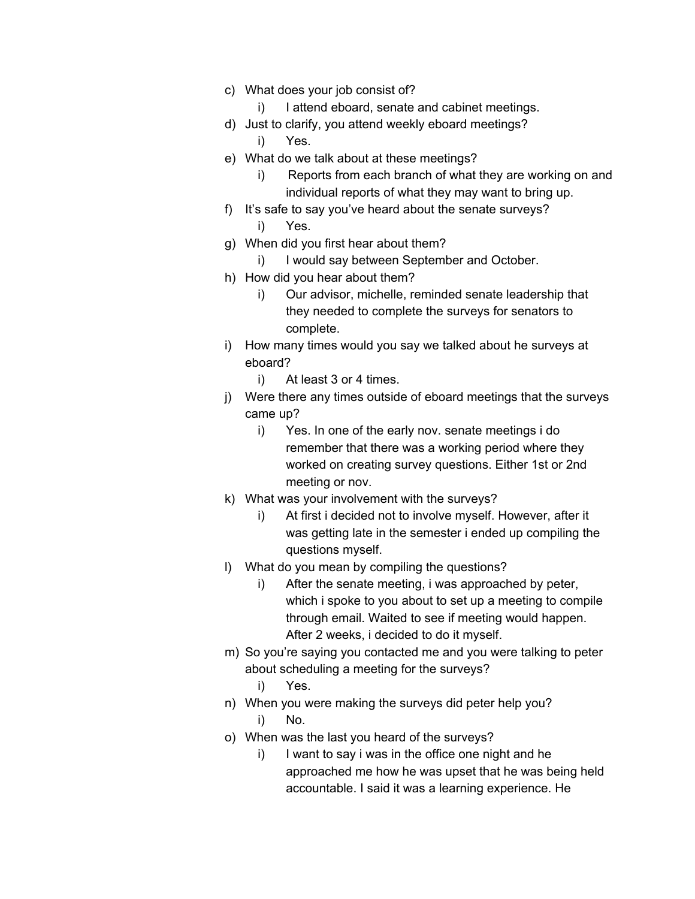- c) What does your job consist of?
	- i) I attend eboard, senate and cabinet meetings.
- d) Just to clarify, you attend weekly eboard meetings?
	- i) Yes.
- e) What do we talk about at these meetings?
	- i) Reports from each branch of what they are working on and individual reports of what they may want to bring up.
- f) It's safe to say you've heard about the senate surveys? i) Yes.
- g) When did you first hear about them?
	- i) I would say between September and October.
- h) How did you hear about them?
	- i) Our advisor, michelle, reminded senate leadership that they needed to complete the surveys for senators to complete.
- i) How many times would you say we talked about he surveys at eboard?
	- i) At least 3 or 4 times.
- j) Were there any times outside of eboard meetings that the surveys came up?
	- i) Yes. In one of the early nov. senate meetings i do remember that there was a working period where they worked on creating survey questions. Either 1st or 2nd meeting or nov.
- k) What was your involvement with the surveys?
	- i) At first i decided not to involve myself. However, after it was getting late in the semester i ended up compiling the questions myself.
- l) What do you mean by compiling the questions?
	- i) After the senate meeting, i was approached by peter, which i spoke to you about to set up a meeting to compile through email. Waited to see if meeting would happen. After 2 weeks, i decided to do it myself.
- m) So you're saying you contacted me and you were talking to peter about scheduling a meeting for the surveys?
	- i) Yes.
- n) When you were making the surveys did peter help you?
	- i) No.
- o) When was the last you heard of the surveys?
	- i) I want to say i was in the office one night and he approached me how he was upset that he was being held accountable. I said it was a learning experience. He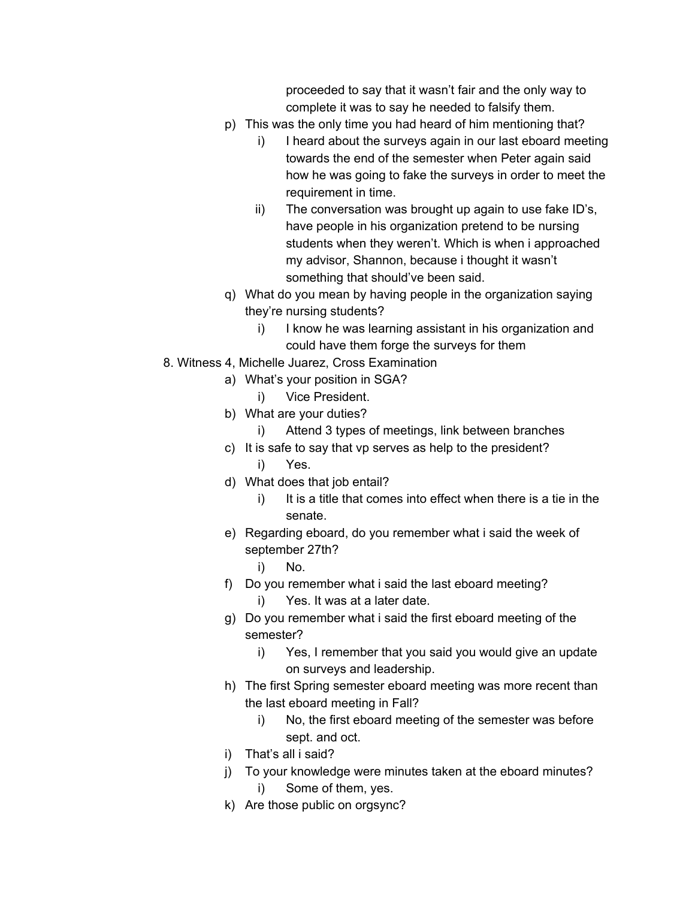proceeded to say that it wasn't fair and the only way to complete it was to say he needed to falsify them.

- p) This was the only time you had heard of him mentioning that?
	- i) I heard about the surveys again in our last eboard meeting towards the end of the semester when Peter again said how he was going to fake the surveys in order to meet the requirement in time.
	- ii) The conversation was brought up again to use fake ID's, have people in his organization pretend to be nursing students when they weren't. Which is when i approached my advisor, Shannon, because i thought it wasn't something that should've been said.
- q) What do you mean by having people in the organization saying they're nursing students?
	- i) I know he was learning assistant in his organization and could have them forge the surveys for them
- 8. Witness 4, Michelle Juarez, Cross Examination
	- a) What's your position in SGA?
		- i) Vice President.
	- b) What are your duties?
		- i) Attend 3 types of meetings, link between branches
	- c) It is safe to say that vp serves as help to the president? i) Yes.
	- d) What does that job entail?
		- i) It is a title that comes into effect when there is a tie in the senate.
	- e) Regarding eboard, do you remember what i said the week of september 27th?
		- i) No.
	- f) Do you remember what i said the last eboard meeting?
		- i) Yes. It was at a later date.
	- g) Do you remember what i said the first eboard meeting of the semester?
		- i) Yes, I remember that you said you would give an update on surveys and leadership.
	- h) The first Spring semester eboard meeting was more recent than the last eboard meeting in Fall?
		- i) No, the first eboard meeting of the semester was before sept. and oct.
	- i) That's all i said?
	- j) To your knowledge were minutes taken at the eboard minutes? i) Some of them, yes.
	- k) Are those public on orgsync?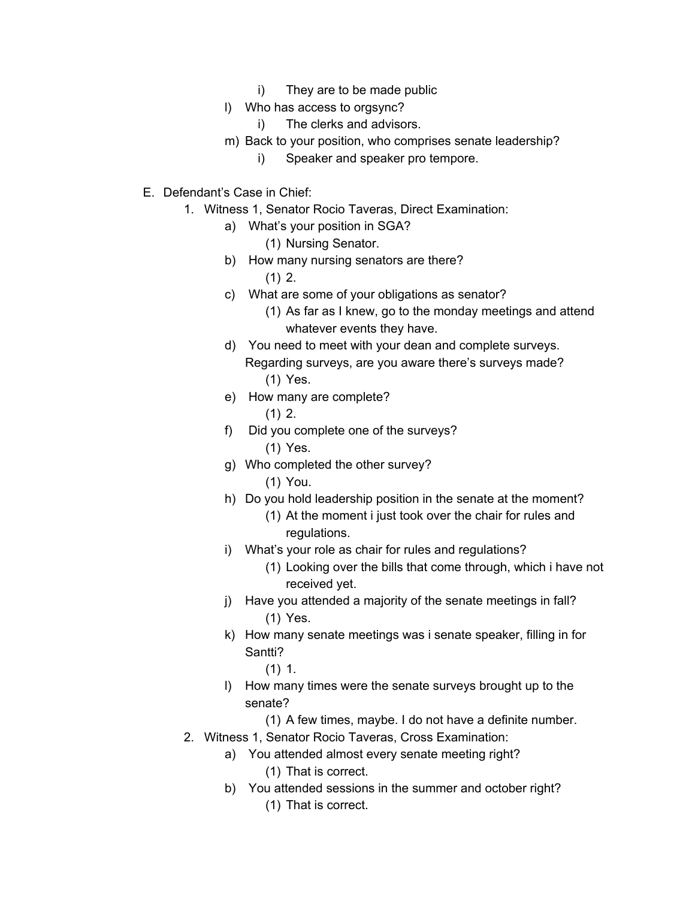- i) They are to be made public
- l) Who has access to orgsync?
	- i) The clerks and advisors.
- m) Back to your position, who comprises senate leadership?
	- i) Speaker and speaker pro tempore.
- E. Defendant's Case in Chief:
	- 1. Witness 1, Senator Rocio Taveras, Direct Examination:
		- a) What's your position in SGA?
			- (1) Nursing Senator.
		- b) How many nursing senators are there?
			- $(1)$  2.
		- c) What are some of your obligations as senator? (1) As far as I knew, go to the monday meetings and attend whatever events they have.
		- d) You need to meet with your dean and complete surveys. Regarding surveys, are you aware there's surveys made? (1) Yes.
		- e) How many are complete?  $(1)$  2.
		- f) Did you complete one of the surveys?
			- (1) Yes.
		- g) Who completed the other survey?
			- (1) You.
		- h) Do you hold leadership position in the senate at the moment? (1) At the moment i just took over the chair for rules and regulations.
		- i) What's your role as chair for rules and regulations?
			- (1) Looking over the bills that come through, which i have not received yet.
		- j) Have you attended a majority of the senate meetings in fall? (1) Yes.
		- k) How many senate meetings was i senate speaker, filling in for Santti?
			- (1) 1.
		- l) How many times were the senate surveys brought up to the senate?
			- (1) A few times, maybe. I do not have a definite number.
	- 2. Witness 1, Senator Rocio Taveras, Cross Examination:
		- a) You attended almost every senate meeting right? (1) That is correct.
		- b) You attended sessions in the summer and october right? (1) That is correct.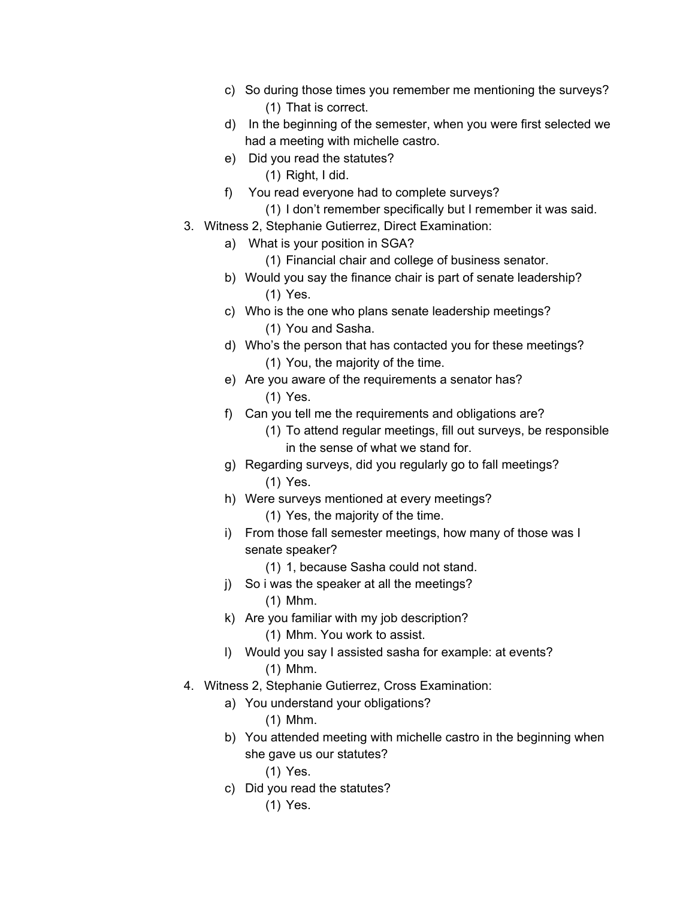- c) So during those times you remember me mentioning the surveys? (1) That is correct.
- d) In the beginning of the semester, when you were first selected we had a meeting with michelle castro.
- e) Did you read the statutes?
	- (1) Right, I did.
- f) You read everyone had to complete surveys?
	- (1) I don't remember specifically but I remember it was said.
- 3. Witness 2, Stephanie Gutierrez, Direct Examination:
	- a) What is your position in SGA?
		- (1) Financial chair and college of business senator.
	- b) Would you say the finance chair is part of senate leadership? (1) Yes.
	- c) Who is the one who plans senate leadership meetings? (1) You and Sasha.
	- d) Who's the person that has contacted you for these meetings? (1) You, the majority of the time.
	- e) Are you aware of the requirements a senator has? (1) Yes.
	- f) Can you tell me the requirements and obligations are?
		- (1) To attend regular meetings, fill out surveys, be responsible in the sense of what we stand for.
	- g) Regarding surveys, did you regularly go to fall meetings? (1) Yes.
	- h) Were surveys mentioned at every meetings? (1) Yes, the majority of the time.
	- i) From those fall semester meetings, how many of those was I senate speaker?
		- (1) 1, because Sasha could not stand.
	- j) So i was the speaker at all the meetings?
		- (1) Mhm.
	- k) Are you familiar with my job description? (1) Mhm. You work to assist.
	- l) Would you say I assisted sasha for example: at events? (1) Mhm.
- 4. Witness 2, Stephanie Gutierrez, Cross Examination:
	- a) You understand your obligations?
		- (1) Mhm.
	- b) You attended meeting with michelle castro in the beginning when she gave us our statutes?
		- (1) Yes.
	- c) Did you read the statutes?
		- (1) Yes.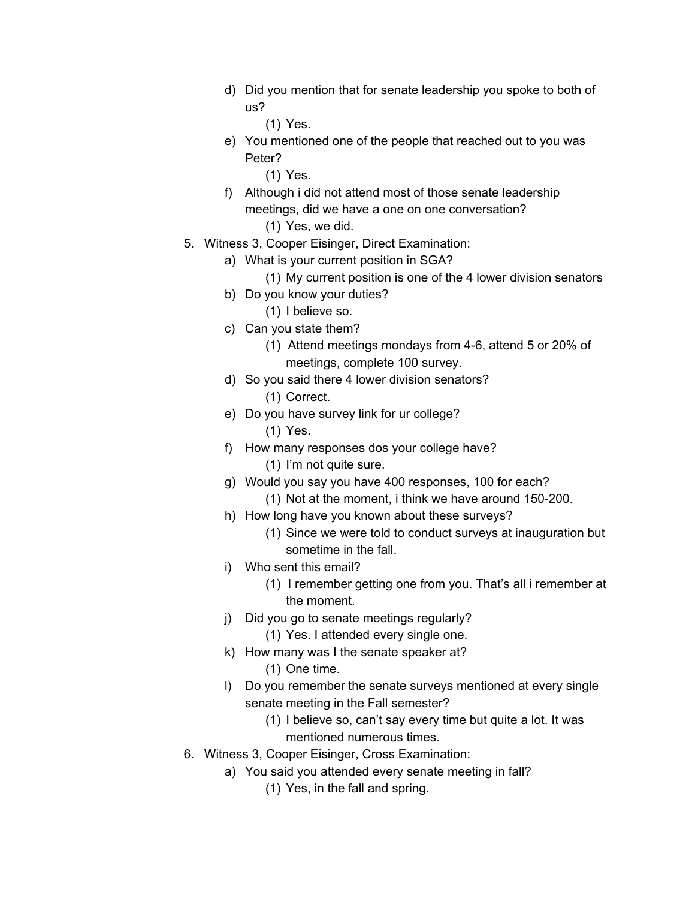- d) Did you mention that for senate leadership you spoke to both of us?
	- (1) Yes.
- e) You mentioned one of the people that reached out to you was Peter?
	- (1) Yes.
- f) Although i did not attend most of those senate leadership meetings, did we have a one on one conversation?
	- (1) Yes, we did.
- 5. Witness 3, Cooper Eisinger, Direct Examination:
	- a) What is your current position in SGA?
		- (1) My current position is one of the 4 lower division senators
	- b) Do you know your duties?
		- (1) I believe so.
	- c) Can you state them?
		- (1) Attend meetings mondays from 4-6, attend 5 or 20% of meetings, complete 100 survey.
	- d) So you said there 4 lower division senators? (1) Correct.
	- e) Do you have survey link for ur college? (1) Yes.
	- f) How many responses dos your college have?
		- (1) I'm not quite sure.
	- g) Would you say you have 400 responses, 100 for each? (1) Not at the moment, i think we have around 150-200.
	- h) How long have you known about these surveys?
		- (1) Since we were told to conduct surveys at inauguration but sometime in the fall.
	- i) Who sent this email?
		- (1) I remember getting one from you. That's all i remember at the moment.
	- j) Did you go to senate meetings regularly?
		- (1) Yes. I attended every single one.
	- k) How many was I the senate speaker at? (1) One time.
	- l) Do you remember the senate surveys mentioned at every single senate meeting in the Fall semester?
		- (1) I believe so, can't say every time but quite a lot. It was mentioned numerous times.
- 6. Witness 3, Cooper Eisinger, Cross Examination:
	- a) You said you attended every senate meeting in fall?
		- (1) Yes, in the fall and spring.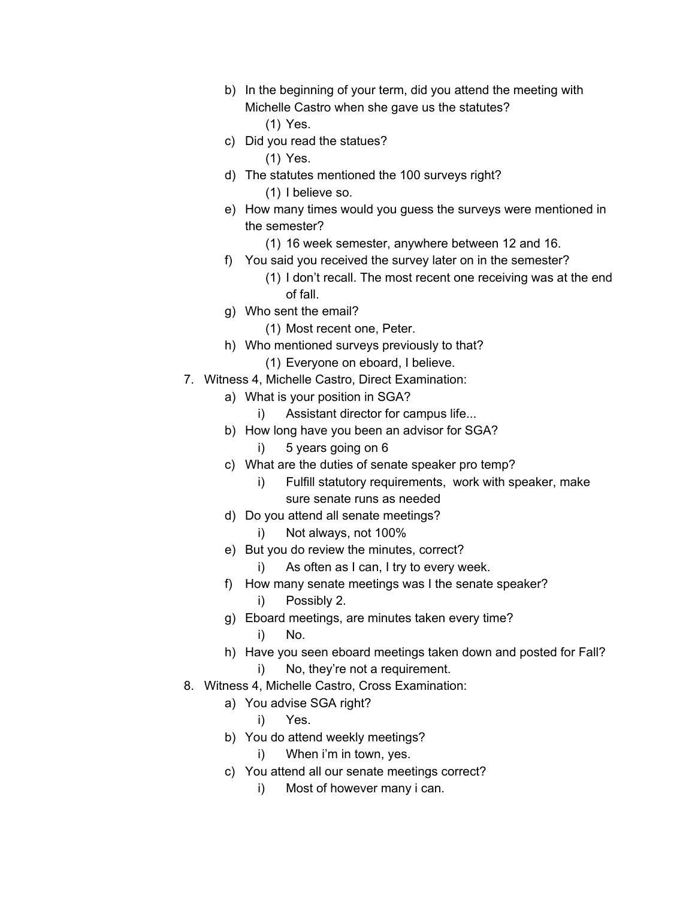- b) In the beginning of your term, did you attend the meeting with Michelle Castro when she gave us the statutes? (1) Yes.
- c) Did you read the statues?
	- (1) Yes.
- d) The statutes mentioned the 100 surveys right? (1) I believe so.
- e) How many times would you guess the surveys were mentioned in the semester?
	- (1) 16 week semester, anywhere between 12 and 16.
- f) You said you received the survey later on in the semester?

(1) I don't recall. The most recent one receiving was at the end of fall.

- g) Who sent the email?
	- (1) Most recent one, Peter.
- h) Who mentioned surveys previously to that?
	- (1) Everyone on eboard, I believe.
- 7. Witness 4, Michelle Castro, Direct Examination:
	- a) What is your position in SGA?
		- i) Assistant director for campus life...
	- b) How long have you been an advisor for SGA?
		- i) 5 years going on 6
	- c) What are the duties of senate speaker pro temp?
		- i) Fulfill statutory requirements, work with speaker, make sure senate runs as needed
	- d) Do you attend all senate meetings?
		- i) Not always, not 100%
	- e) But you do review the minutes, correct?
		- i) As often as I can, I try to every week.
	- f) How many senate meetings was I the senate speaker?
		- i) Possibly 2.
	- g) Eboard meetings, are minutes taken every time?
		- i) No.
	- h) Have you seen eboard meetings taken down and posted for Fall?
		- i) No, they're not a requirement.
- 8. Witness 4, Michelle Castro, Cross Examination:
	- a) You advise SGA right?
		- i) Yes.
	- b) You do attend weekly meetings?
		- i) When i'm in town, yes.
	- c) You attend all our senate meetings correct?
		- i) Most of however many i can.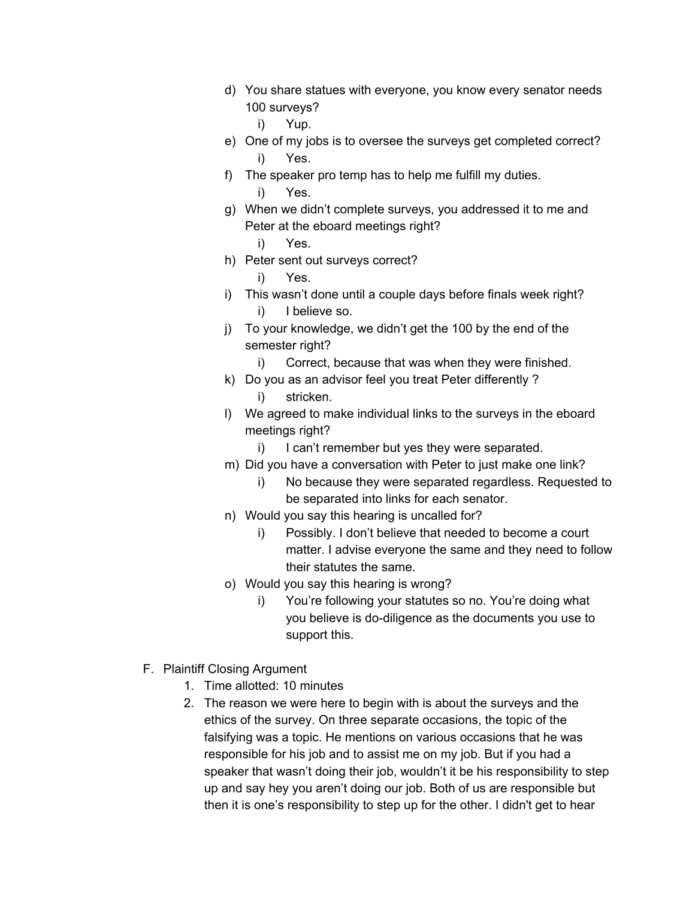- d) You share statues with everyone, you know every senator needs 100 surveys?
	- i) Yup.
- e) One of my jobs is to oversee the surveys get completed correct? i) Yes.
- f) The speaker pro temp has to help me fulfill my duties. i) Yes.
- g) When we didn't complete surveys, you addressed it to me and Peter at the eboard meetings right?
	- i) Yes.
- h) Peter sent out surveys correct?

i) Yes.

- i) This wasn't done until a couple days before finals week right? i) I believe so.
- j) To your knowledge, we didn't get the 100 by the end of the semester right?
	- i) Correct, because that was when they were finished.
- k) Do you as an advisor feel you treat Peter differently ?
	- i) stricken.
- l) We agreed to make individual links to the surveys in the eboard meetings right?
	- i) I can't remember but yes they were separated.
- m) Did you have a conversation with Peter to just make one link?
	- i) No because they were separated regardless. Requested to be separated into links for each senator.
- n) Would you say this hearing is uncalled for?
	- i) Possibly. I don't believe that needed to become a court matter. I advise everyone the same and they need to follow their statutes the same.
- o) Would you say this hearing is wrong?
	- i) You're following your statutes so no. You're doing what you believe is do-diligence as the documents you use to support this.
- F. Plaintiff Closing Argument
	- 1. Time allotted: 10 minutes
	- 2. The reason we were here to begin with is about the surveys and the ethics of the survey. On three separate occasions, the topic of the falsifying was a topic. He mentions on various occasions that he was responsible for his job and to assist me on my job. But if you had a speaker that wasn't doing their job, wouldn't it be his responsibility to step up and say hey you aren't doing our job. Both of us are responsible but then it is one's responsibility to step up for the other. I didn't get to hear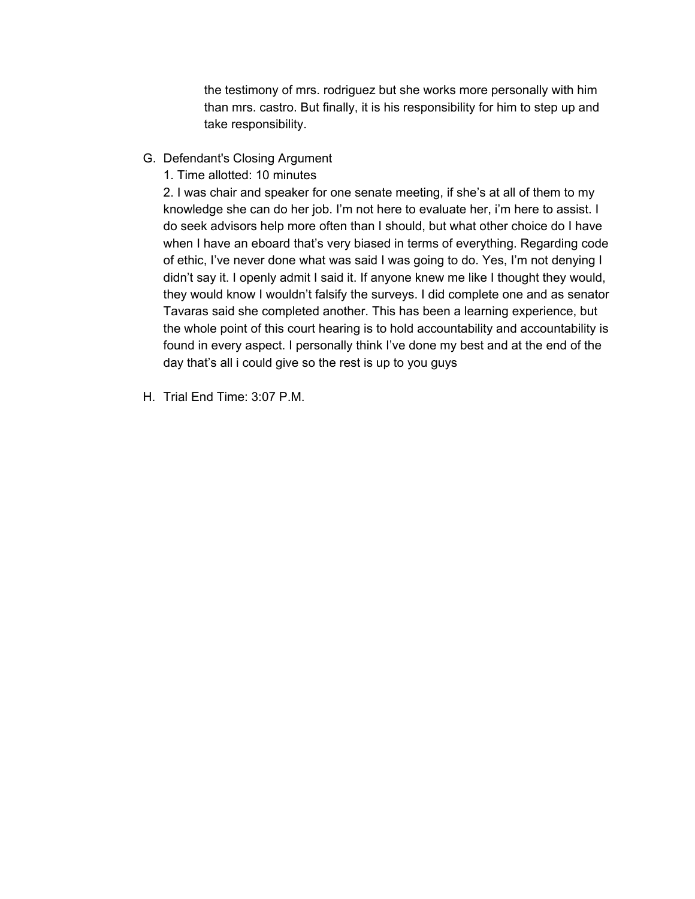the testimony of mrs. rodriguez but she works more personally with him than mrs. castro. But finally, it is his responsibility for him to step up and take responsibility.

- G. Defendant's Closing Argument
	- 1. Time allotted: 10 minutes

2. I was chair and speaker for one senate meeting, if she's at all of them to my knowledge she can do her job. I'm not here to evaluate her, i'm here to assist. I do seek advisors help more often than I should, but what other choice do I have when I have an eboard that's very biased in terms of everything. Regarding code of ethic, I've never done what was said I was going to do. Yes, I'm not denying I didn't say it. I openly admit I said it. If anyone knew me like I thought they would, they would know I wouldn't falsify the surveys. I did complete one and as senator Tavaras said she completed another. This has been a learning experience, but the whole point of this court hearing is to hold accountability and accountability is found in every aspect. I personally think I've done my best and at the end of the day that's all i could give so the rest is up to you guys

H. Trial End Time: 3:07 P.M.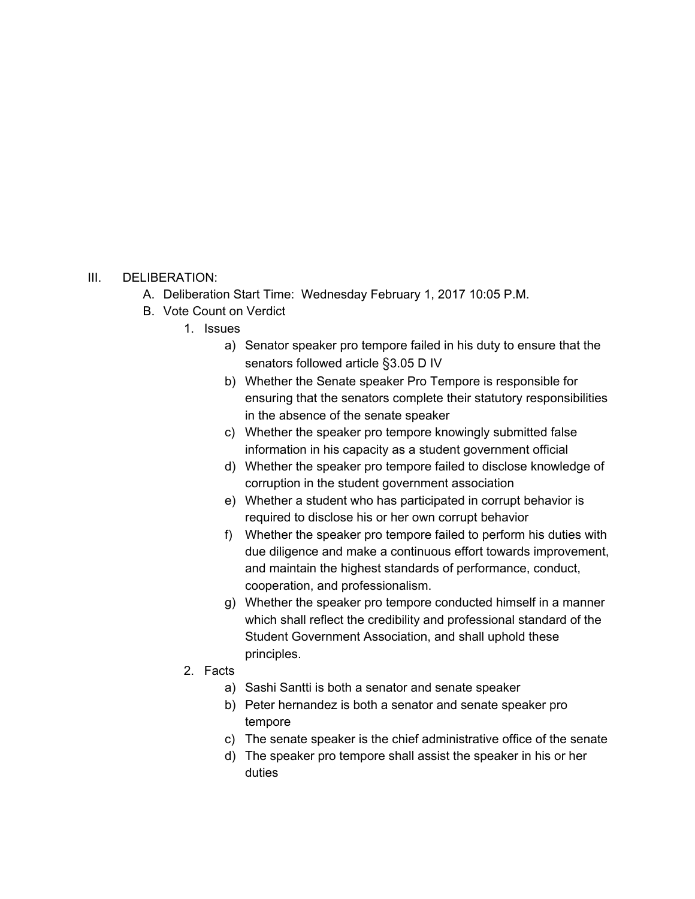## III. DELIBERATION:

- A. Deliberation Start Time: Wednesday February 1, 2017 10:05 P.M.
- B. Vote Count on Verdict
	- 1. Issues
		- a) Senator speaker pro tempore failed in his duty to ensure that the senators followed article §3.05 D IV
		- b) Whether the Senate speaker Pro Tempore is responsible for ensuring that the senators complete their statutory responsibilities in the absence of the senate speaker
		- c) Whether the speaker pro tempore knowingly submitted false information in his capacity as a student government official
		- d) Whether the speaker pro tempore failed to disclose knowledge of corruption in the student government association
		- e) Whether a student who has participated in corrupt behavior is required to disclose his or her own corrupt behavior
		- f) Whether the speaker pro tempore failed to perform his duties with due diligence and make a continuous effort towards improvement, and maintain the highest standards of performance, conduct, cooperation, and professionalism.
		- g) Whether the speaker pro tempore conducted himself in a manner which shall reflect the credibility and professional standard of the Student Government Association, and shall uphold these principles.
	- 2. Facts
		- a) Sashi Santti is both a senator and senate speaker
		- b) Peter hernandez is both a senator and senate speaker pro tempore
		- c) The senate speaker is the chief administrative office of the senate
		- d) The speaker pro tempore shall assist the speaker in his or her duties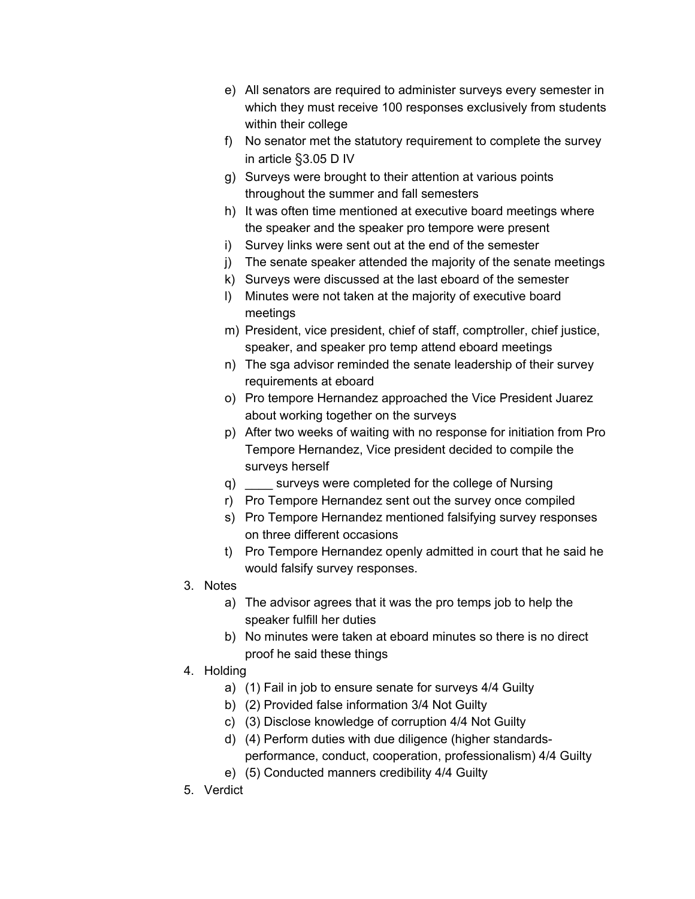- e) All senators are required to administer surveys every semester in which they must receive 100 responses exclusively from students within their college
- f) No senator met the statutory requirement to complete the survey in article §3.05 D IV
- g) Surveys were brought to their attention at various points throughout the summer and fall semesters
- h) It was often time mentioned at executive board meetings where the speaker and the speaker pro tempore were present
- i) Survey links were sent out at the end of the semester
- j) The senate speaker attended the majority of the senate meetings
- k) Surveys were discussed at the last eboard of the semester
- l) Minutes were not taken at the majority of executive board meetings
- m) President, vice president, chief of staff, comptroller, chief justice, speaker, and speaker pro temp attend eboard meetings
- n) The sga advisor reminded the senate leadership of their survey requirements at eboard
- o) Pro tempore Hernandez approached the Vice President Juarez about working together on the surveys
- p) After two weeks of waiting with no response for initiation from Pro Tempore Hernandez, Vice president decided to compile the surveys herself
- q) surveys were completed for the college of Nursing
- r) Pro Tempore Hernandez sent out the survey once compiled
- s) Pro Tempore Hernandez mentioned falsifying survey responses on three different occasions
- t) Pro Tempore Hernandez openly admitted in court that he said he would falsify survey responses.
- 3. Notes
	- a) The advisor agrees that it was the pro temps job to help the speaker fulfill her duties
	- b) No minutes were taken at eboard minutes so there is no direct proof he said these things
- 4. Holding
	- a) (1) Fail in job to ensure senate for surveys 4/4 Guilty
	- b) (2) Provided false information 3/4 Not Guilty
	- c) (3) Disclose knowledge of corruption 4/4 Not Guilty
	- d) (4) Perform duties with due diligence (higher standardsperformance, conduct, cooperation, professionalism) 4/4 Guilty
	- e) (5) Conducted manners credibility 4/4 Guilty
- 5. Verdict